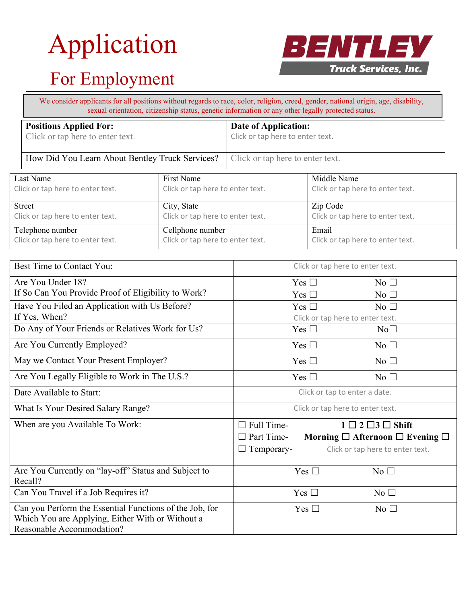# Application



## For Employment

|                                                                                                 | We consider applicants for all positions without regards to race, color, religion, creed, gender, national origin, age, disability,<br>sexual orientation, citizenship status, genetic information or any other legally protected status. |  |                                                          |  |  |
|-------------------------------------------------------------------------------------------------|-------------------------------------------------------------------------------------------------------------------------------------------------------------------------------------------------------------------------------------------|--|----------------------------------------------------------|--|--|
|                                                                                                 | <b>Positions Applied For:</b><br>Click or tap here to enter text.                                                                                                                                                                         |  | Date of Application:<br>Click or tap here to enter text. |  |  |
|                                                                                                 | How Did You Learn About Bentley Truck Services?                                                                                                                                                                                           |  | Click or tap here to enter text.                         |  |  |
| First Name<br>Last Name<br>Click or tap here to enter text.<br>Click or tap here to enter text. |                                                                                                                                                                                                                                           |  | Middle Name<br>Click or tap here to enter text.          |  |  |

| <b>Street</b>                    | City, State                      | Zip Code                         |
|----------------------------------|----------------------------------|----------------------------------|
| Click or tap here to enter text. | Click or tap here to enter text. | Click or tap here to enter text. |
| Telephone number                 | Cellphone number                 | Email                            |
| Click or tap here to enter text. | Click or tap here to enter text. | Click or tap here to enter text. |

| Best Time to Contact You:                               | Click or tap here to enter text.                             |  |
|---------------------------------------------------------|--------------------------------------------------------------|--|
| Are You Under 18?                                       | Yes $\square$<br>$No$ $\square$                              |  |
| If So Can You Provide Proof of Eligibility to Work?     | Yes $\square$<br>$No$ $\square$                              |  |
| Have You Filed an Application with Us Before?           | Yes $\square$<br>No                                          |  |
| If Yes, When?                                           | Click or tap here to enter text.                             |  |
| Do Any of Your Friends or Relatives Work for Us?        | Yes $\square$<br>No <sub>1</sub>                             |  |
| Are You Currently Employed?                             | Yes $\square$<br>No <sub>1</sub>                             |  |
| May we Contact Your Present Employer?                   | Yes $\square$<br>No <sub>1</sub>                             |  |
| Are You Legally Eligible to Work in The U.S.?           | Yes $\square$<br>No $\Box$                                   |  |
| Date Available to Start:                                | Click or tap to enter a date.                                |  |
| What Is Your Desired Salary Range?                      | Click or tap here to enter text.                             |  |
| When are you Available To Work:                         | Full Time-<br>$1 \square 2 \square 3 \square$ Shift          |  |
|                                                         | Part Time-<br>Morning $\Box$ Afternoon $\Box$ Evening $\Box$ |  |
|                                                         | $\Box$ Temporary-<br>Click or tap here to enter text.        |  |
| Are You Currently on "lay-off" Status and Subject to    | Yes $\square$<br>No <sub>1</sub>                             |  |
| Recall?                                                 |                                                              |  |
| Can You Travel if a Job Requires it?                    | Yes $\square$<br>No <sub>1</sub>                             |  |
| Can you Perform the Essential Functions of the Job, for | Yes $\square$<br>$\overline{N_0}$ $\Box$                     |  |
| Which You are Applying, Either With or Without a        |                                                              |  |
| Reasonable Accommodation?                               |                                                              |  |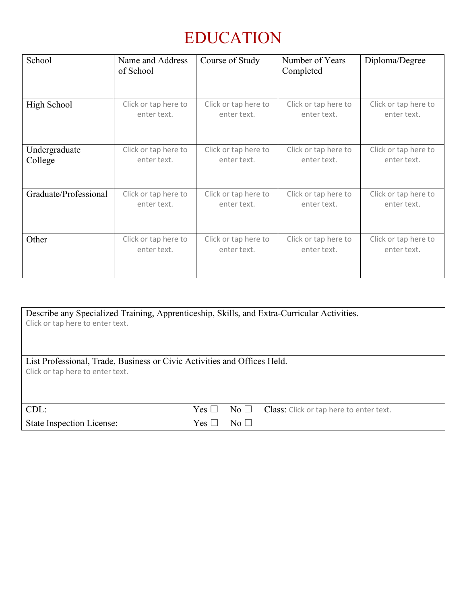#### EDUCATION

| School                | Name and Address<br>of School | Course of Study      | Number of Years<br>Completed | Diploma/Degree       |
|-----------------------|-------------------------------|----------------------|------------------------------|----------------------|
| High School           | Click or tap here to          | Click or tap here to | Click or tap here to         | Click or tap here to |
|                       | enter text.                   | enter text.          | enter text.                  | enter text.          |
| Undergraduate         | Click or tap here to          | Click or tap here to | Click or tap here to         | Click or tap here to |
| College               | enter text.                   | enter text.          | enter text.                  | enter text.          |
| Graduate/Professional | Click or tap here to          | Click or tap here to | Click or tap here to         | Click or tap here to |
|                       | enter text.                   | enter text.          | enter text.                  | enter text.          |
| Other                 | Click or tap here to          | Click or tap here to | Click or tap here to         | Click or tap here to |
|                       | enter text.                   | enter text.          | enter text.                  | enter text.          |

| Describe any Specialized Training, Apprenticeship, Skills, and Extra-Curricular Activities.<br>Click or tap here to enter text. |            |                     |                                         |  |
|---------------------------------------------------------------------------------------------------------------------------------|------------|---------------------|-----------------------------------------|--|
| List Professional, Trade, Business or Civic Activities and Offices Held.<br>Click or tap here to enter text.                    |            |                     |                                         |  |
| $CDL$ :                                                                                                                         | $Yes \Box$ | $\rm No \ \Box$     | Class: Click or tap here to enter text. |  |
| <b>State Inspection License:</b>                                                                                                | Yes        | $\mathrm{No} \perp$ |                                         |  |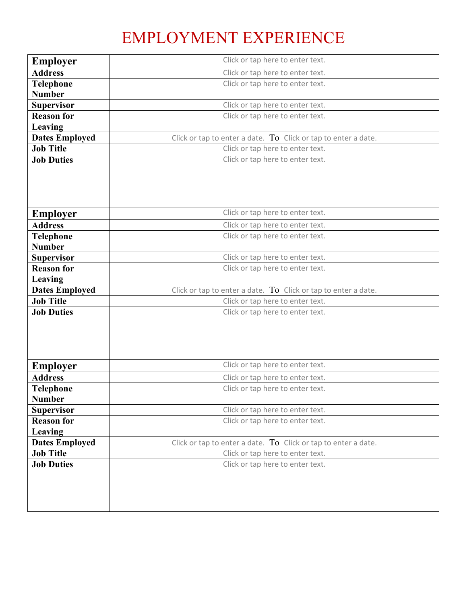#### EMPLOYMENT EXPERIENCE

| <b>Employer</b>                   | Click or tap here to enter text.                               |
|-----------------------------------|----------------------------------------------------------------|
| <b>Address</b>                    | Click or tap here to enter text.                               |
| <b>Telephone</b>                  | Click or tap here to enter text.                               |
| <b>Number</b>                     |                                                                |
| <b>Supervisor</b>                 | Click or tap here to enter text.                               |
| <b>Reason for</b>                 | Click or tap here to enter text.                               |
| Leaving                           |                                                                |
| <b>Dates Employed</b>             | Click or tap to enter a date. To Click or tap to enter a date. |
| <b>Job Title</b>                  | Click or tap here to enter text.                               |
| <b>Job Duties</b>                 | Click or tap here to enter text.                               |
|                                   |                                                                |
| <b>Employer</b>                   | Click or tap here to enter text.                               |
| <b>Address</b>                    | Click or tap here to enter text.                               |
| Telephone<br><b>Number</b>        | Click or tap here to enter text.                               |
| <b>Supervisor</b>                 | Click or tap here to enter text.                               |
| <b>Reason for</b>                 | Click or tap here to enter text.                               |
| Leaving                           |                                                                |
| <b>Dates Employed</b>             | Click or tap to enter a date. To Click or tap to enter a date. |
|                                   |                                                                |
| <b>Job Title</b>                  | Click or tap here to enter text.                               |
| <b>Job Duties</b>                 | Click or tap here to enter text.                               |
| <b>Employer</b>                   | Click or tap here to enter text.                               |
| <b>Address</b>                    | Click or tap here to enter text.                               |
| <b>Telephone</b><br><b>Number</b> | Click or tap here to enter text.                               |
| <b>Supervisor</b>                 | Click or tap here to enter text.                               |
| <b>Reason for</b>                 | Click or tap here to enter text.                               |
| Leaving                           |                                                                |
| <b>Dates Employed</b>             | Click or tap to enter a date. To Click or tap to enter a date. |
| <b>Job Title</b>                  | Click or tap here to enter text.                               |
| <b>Job Duties</b>                 | Click or tap here to enter text.                               |